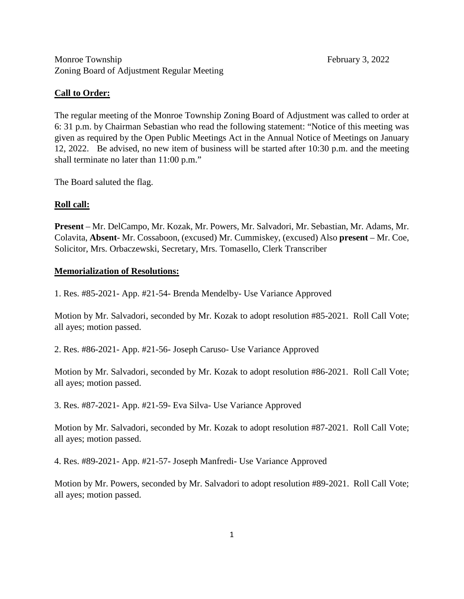Monroe Township February 3, 2022 Zoning Board of Adjustment Regular Meeting

## **Call to Order:**

The regular meeting of the Monroe Township Zoning Board of Adjustment was called to order at 6: 31 p.m. by Chairman Sebastian who read the following statement: "Notice of this meeting was given as required by the Open Public Meetings Act in the Annual Notice of Meetings on January 12, 2022. Be advised, no new item of business will be started after 10:30 p.m. and the meeting shall terminate no later than 11:00 p.m."

The Board saluted the flag.

## **Roll call:**

**Present** – Mr. DelCampo, Mr. Kozak, Mr. Powers, Mr. Salvadori, Mr. Sebastian, Mr. Adams, Mr. Colavita, **Absent**- Mr. Cossaboon, (excused) Mr. Cummiskey, (excused) Also **present** – Mr. Coe, Solicitor, Mrs. Orbaczewski, Secretary, Mrs. Tomasello, Clerk Transcriber

### **Memorialization of Resolutions:**

1. Res. #85-2021- App. #21-54- Brenda Mendelby- Use Variance Approved

Motion by Mr. Salvadori, seconded by Mr. Kozak to adopt resolution #85-2021. Roll Call Vote; all ayes; motion passed.

2. Res. #86-2021- App. #21-56- Joseph Caruso- Use Variance Approved

Motion by Mr. Salvadori, seconded by Mr. Kozak to adopt resolution #86-2021. Roll Call Vote; all ayes; motion passed.

3. Res. #87-2021- App. #21-59- Eva Silva- Use Variance Approved

Motion by Mr. Salvadori, seconded by Mr. Kozak to adopt resolution #87-2021. Roll Call Vote; all ayes; motion passed.

4. Res. #89-2021- App. #21-57- Joseph Manfredi- Use Variance Approved

Motion by Mr. Powers, seconded by Mr. Salvadori to adopt resolution #89-2021. Roll Call Vote; all ayes; motion passed.